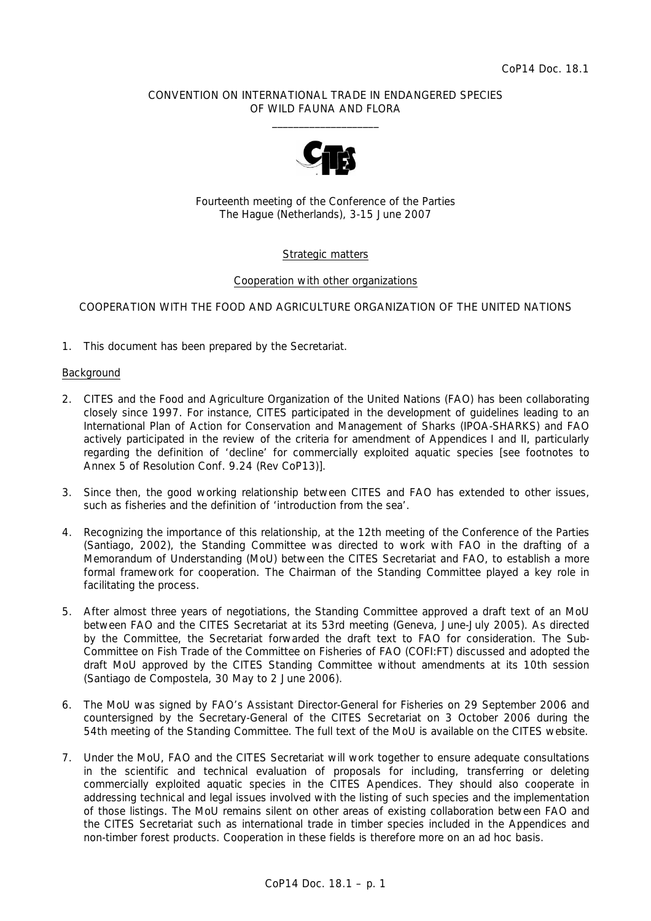### CONVENTION ON INTERNATIONAL TRADE IN ENDANGERED SPECIES OF WILD FAUNA AND FLORA  $\frac{1}{2}$  , and the set of the set of the set of the set of the set of the set of the set of the set of the set of the set of the set of the set of the set of the set of the set of the set of the set of the set of the set



Fourteenth meeting of the Conference of the Parties The Hague (Netherlands), 3-15 June 2007

# Strategic matters

### Cooperation with other organizations

## COOPERATION WITH THE FOOD AND AGRICULTURE ORGANIZATION OF THE UNITED NATIONS

1. This document has been prepared by the Secretariat.

### Background

- 2. CITES and the Food and Agriculture Organization of the United Nations (FAO) has been collaborating closely since 1997. For instance, CITES participated in the development of guidelines leading to an International Plan of Action for Conservation and Management of Sharks (IPOA-SHARKS) and FAO actively participated in the review of the criteria for amendment of Appendices I and II, particularly regarding the definition of 'decline' for commercially exploited aquatic species [see footnotes to Annex 5 of Resolution Conf. 9.24 (Rev CoP13)].
- 3. Since then, the good working relationship between CITES and FAO has extended to other issues, such as fisheries and the definition of 'introduction from the sea'.
- 4. Recognizing the importance of this relationship, at the 12th meeting of the Conference of the Parties (Santiago, 2002), the Standing Committee was directed to work with FAO in the drafting of a Memorandum of Understanding (MoU) between the CITES Secretariat and FAO, to establish a more formal framework for cooperation. The Chairman of the Standing Committee played a key role in facilitating the process.
- 5. After almost three years of negotiations, the Standing Committee approved a draft text of an MoU between FAO and the CITES Secretariat at its 53rd meeting (Geneva, June-July 2005). As directed by the Committee, the Secretariat forwarded the draft text to FAO for consideration. The Sub-Committee on Fish Trade of the Committee on Fisheries of FAO (COFI:FT) discussed and adopted the draft MoU approved by the CITES Standing Committee without amendments at its 10th session (Santiago de Compostela, 30 May to 2 June 2006)*.*
- 6. The MoU was signed by FAO's Assistant Director-General for Fisheries on 29 September 2006 and countersigned by the Secretary-General of the CITES Secretariat on 3 October 2006 during the 54th meeting of the Standing Committee. The full text of the MoU is available on the CITES website.
- 7. Under the MoU, FAO and the CITES Secretariat will work together to ensure adequate consultations in the scientific and technical evaluation of proposals for including, transferring or deleting commercially exploited aquatic species in the CITES Apendices. They should also cooperate in addressing technical and legal issues involved with the listing of such species and the implementation of those listings. The MoU remains silent on other areas of existing collaboration between FAO and the CITES Secretariat such as international trade in timber species included in the Appendices and non-timber forest products. Cooperation in these fields is therefore more on an *ad hoc* basis.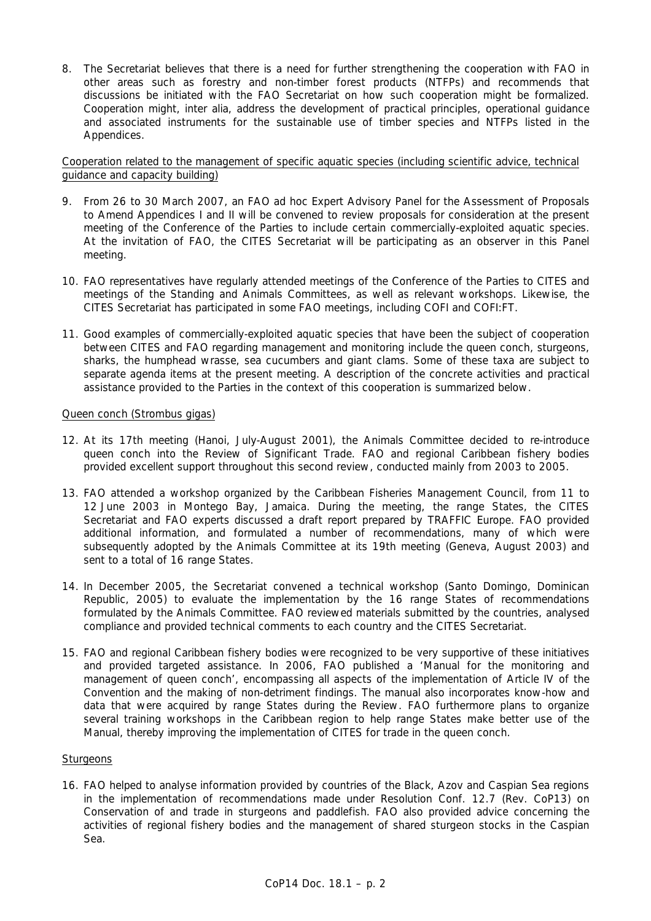8. The Secretariat believes that there is a need for further strengthening the cooperation with FAO in other areas such as forestry and non-timber forest products (NTFPs) and recommends that discussions be initiated with the FAO Secretariat on how such cooperation might be formalized. Cooperation might, *inter alia*, address the development of practical principles, operational guidance and associated instruments for the sustainable use of timber species and NTFPs listed in the Appendices.

Cooperation related to the management of specific aquatic species (including scientific advice, technical guidance and capacity building)

- 9. From 26 to 30 March 2007, an FAO *ad hoc* Expert Advisory Panel for the Assessment of Proposals to Amend Appendices I and II will be convened to review proposals for consideration at the present meeting of the Conference of the Parties to include certain commercially-exploited aquatic species. At the invitation of FAO, the CITES Secretariat will be participating as an observer in this Panel meeting.
- 10. FAO representatives have regularly attended meetings of the Conference of the Parties to CITES and meetings of the Standing and Animals Committees, as well as relevant workshops. Likewise, the CITES Secretariat has participated in some FAO meetings, including COFI and COFI:FT.
- 11. Good examples of commercially-exploited aquatic species that have been the subject of cooperation between CITES and FAO regarding management and monitoring include the queen conch, sturgeons, sharks, the humphead wrasse, sea cucumbers and giant clams. Some of these taxa are subject to separate agenda items at the present meeting. A description of the concrete activities and practical assistance provided to the Parties in the context of this cooperation is summarized below.

### Queen conch *(Strombus gigas)*

- 12. At its 17th meeting (Hanoi, July-August 2001), the Animals Committee decided to re-introduce queen conch into the Review of Significant Trade. FAO and regional Caribbean fishery bodies provided excellent support throughout this second review, conducted mainly from 2003 to 2005*.*
- 13. FAO attended a workshop organized by the Caribbean Fisheries Management Council, from 11 to 12 June 2003 in Montego Bay, Jamaica. During the meeting, the range States, the CITES Secretariat and FAO experts discussed a draft report prepared by TRAFFIC Europe. FAO provided additional information, and formulated a number of recommendations, many of which were subsequently adopted by the Animals Committee at its 19th meeting (Geneva, August 2003) and sent to a total of 16 range States.
- 14. In December 2005, the Secretariat convened a technical workshop (Santo Domingo, Dominican Republic, 2005) to evaluate the implementation by the 16 range States of recommendations formulated by the Animals Committee. FAO reviewed materials submitted by the countries, analysed compliance and provided technical comments to each country and the CITES Secretariat.
- 15. FAO and regional Caribbean fishery bodies were recognized to be very supportive of these initiatives and provided targeted assistance. In 2006, FAO published a 'Manual for the monitoring and management of queen conch', encompassing all aspects of the implementation of Article IV of the Convention and the making of non-detriment findings. The manual also incorporates know-how and data that were acquired by range States during the Review. FAO furthermore plans to organize several training workshops in the Caribbean region to help range States make better use of the Manual, thereby improving the implementation of CITES for trade in the queen conch.

### **Sturgeons**

16. FAO helped to analyse information provided by countries of the Black, Azov and Caspian Sea regions in the implementation of recommendations made under Resolution Conf. 12.7 (Rev. CoP13) on Conservation of and trade in sturgeons and paddlefish. FAO also provided advice concerning the activities of regional fishery bodies and the management of shared sturgeon stocks in the Caspian Sea.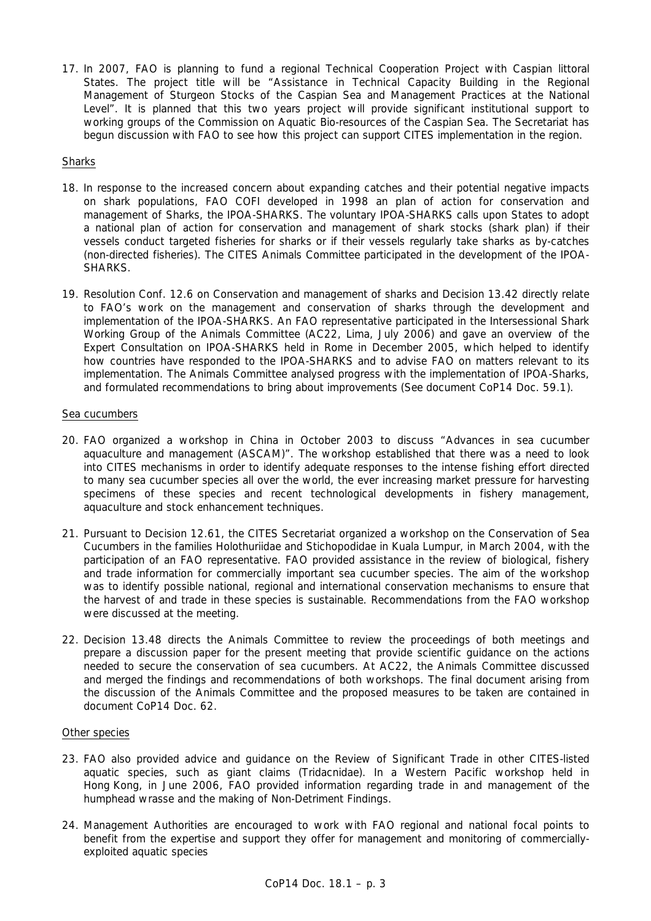17. In 2007, FAO is planning to fund a regional Technical Cooperation Project with Caspian littoral States. The project title will be "Assistance in Technical Capacity Building in the Regional Management of Sturgeon Stocks of the Caspian Sea and Management Practices at the National Level". It is planned that this two years project will provide significant institutional support to working groups of the Commission on Aquatic Bio-resources of the Caspian Sea. The Secretariat has begun discussion with FAO to see how this project can support CITES implementation in the region.

## **Sharks**

- 18. In response to the increased concern about expanding catches and their potential negative impacts on shark populations, FAO COFI developed in 1998 an plan of action for conservation and management of Sharks, the IPOA-SHARKS. The voluntary IPOA-SHARKS calls upon States to adopt a national plan of action for conservation and management of shark stocks (shark plan) if their vessels conduct targeted fisheries for sharks or if their vessels regularly take sharks as by-catches (non-directed fisheries). The CITES Animals Committee participated in the development of the IPOA-SHARKS.
- 19. Resolution Conf. 12.6 on Conservation and management of sharks and Decision 13.42 directly relate to FAO's work on the management and conservation of sharks through the development and implementation of the IPOA-SHARKS. An FAO representative participated in the Intersessional Shark Working Group of the Animals Committee (AC22, Lima, July 2006) and gave an overview of the Expert Consultation on IPOA-SHARKS held in Rome in December 2005, which helped to identify how countries have responded to the IPOA-SHARKS and to advise FAO on matters relevant to its implementation. The Animals Committee analysed progress with the implementation of IPOA-Sharks, and formulated recommendations to bring about improvements (See document CoP14 Doc. 59.1).

### Sea cucumbers

- 20. FAO organized a workshop in China in October 2003 to discuss "Advances in sea cucumber aquaculture and management (ASCAM)". The workshop established that there was a need to look into CITES mechanisms in order to identify adequate responses to the intense fishing effort directed to many sea cucumber species all over the world, the ever increasing market pressure for harvesting specimens of these species and recent technological developments in fishery management, aquaculture and stock enhancement techniques.
- 21. Pursuant to Decision 12.61, the CITES Secretariat organized a workshop on the Conservation of Sea Cucumbers in the families Holothuriidae and Stichopodidae in Kuala Lumpur, in March 2004, with the participation of an FAO representative. FAO provided assistance in the review of biological, fishery and trade information for commercially important sea cucumber species. The aim of the workshop was to identify possible national, regional and international conservation mechanisms to ensure that the harvest of and trade in these species is sustainable. Recommendations from the FAO workshop were discussed at the meeting.
- 22. Decision 13.48 directs the Animals Committee to review the proceedings of both meetings and prepare a discussion paper for the present meeting that provide scientific guidance on the actions needed to secure the conservation of sea cucumbers. At AC22, the Animals Committee discussed and merged the findings and recommendations of both workshops. The final document arising from the discussion of the Animals Committee and the proposed measures to be taken are contained in document CoP14 Doc. 62.

#### Other species

- 23. FAO also provided advice and guidance on the Review of Significant Trade in other CITES-listed aquatic species, such as giant claims (*Tridacnidae*)*.* In a Western Pacific workshop held in Hong Kong, in June 2006, FAO provided information regarding trade in and management of the humphead wrasse and the making of Non-Detriment Findings.
- 24. Management Authorities are encouraged to work with FAO regional and national focal points to benefit from the expertise and support they offer for management and monitoring of commerciallyexploited aquatic species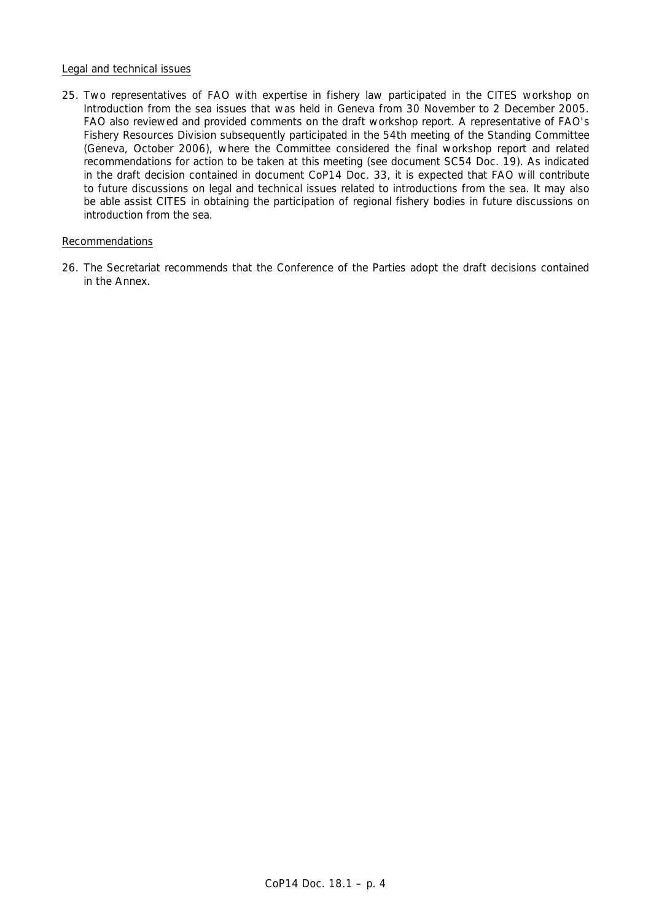### Legal and technical issues

25. Two representatives of FAO with expertise in fishery law participated in the CITES workshop on Introduction from the sea issues that was held in Geneva from 30 November to 2 December 2005. FAO also reviewed and provided comments on the draft workshop report. A representative of FAO's Fishery Resources Division subsequently participated in the 54th meeting of the Standing Committee (Geneva, October 2006), where the Committee considered the final workshop report and related recommendations for action to be taken at this meeting (see document SC54 Doc. 19). As indicated in the draft decision contained in document CoP14 Doc. 33, it is expected that FAO will contribute to future discussions on legal and technical issues related to introductions from the sea. It may also be able assist CITES in obtaining the participation of regional fishery bodies in future discussions on introduction from the sea.

## Recommendations

26. The Secretariat recommends that the Conference of the Parties adopt the draft decisions contained in the Annex.